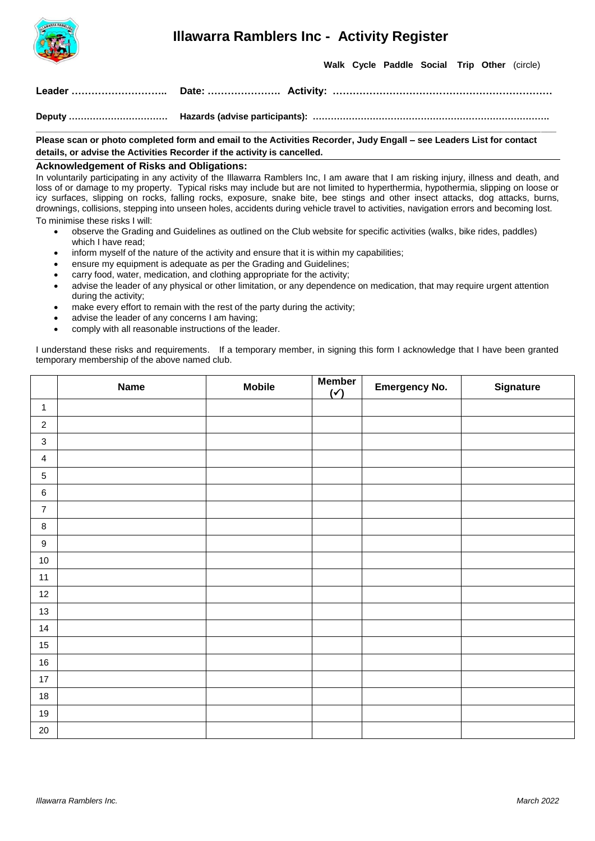## **Illawarra Ramblers Inc - Activity Register**



**Walk Cycle Paddle Social Trip Other** (circle)

**Leader ……………………….. Date: …………………. Activity: …………………………………………………………**

**Deputy …………………………… Hazards (advise participants): ……………………………………………………………………. \_\_\_\_\_\_\_\_\_\_\_\_\_\_\_\_\_\_\_\_\_\_\_\_\_\_\_\_\_\_\_\_\_\_\_\_\_\_\_\_\_\_\_\_\_\_\_\_\_\_\_\_\_\_\_\_\_\_\_\_\_\_\_\_\_\_\_\_\_\_\_\_\_\_\_\_\_\_\_\_\_\_\_\_\_\_\_\_\_\_\_\_\_\_\_\_\_\_\_\_\_\_\_\_**

## **Please scan or photo completed form and email to the Activities Recorder, Judy Engall – see Leaders List for contact details, or advise the Activities Recorder if the activity is cancelled.**

## **Acknowledgement of Risks and Obligations:**

In voluntarily participating in any activity of the Illawarra Ramblers Inc, I am aware that I am risking injury, illness and death, and loss of or damage to my property. Typical risks may include but are not limited to hyperthermia, hypothermia, slipping on loose or icy surfaces, slipping on rocks, falling rocks, exposure, snake bite, bee stings and other insect attacks, dog attacks, burns, drownings, collisions, stepping into unseen holes, accidents during vehicle travel to activities, navigation errors and becoming lost.

To minimise these risks I will:

- observe the Grading and Guidelines as outlined on the Club website for specific activities (walks, bike rides, paddles) which I have read;
- inform myself of the nature of the activity and ensure that it is within my capabilities;
- ensure my equipment is adequate as per the Grading and Guidelines;
- carry food, water, medication, and clothing appropriate for the activity;
- advise the leader of any physical or other limitation, or any dependence on medication, that may require urgent attention during the activity;
- make every effort to remain with the rest of the party during the activity;
- advise the leader of any concerns I am having;
- comply with all reasonable instructions of the leader.

I understand these risks and requirements. If a temporary member, in signing this form I acknowledge that I have been granted temporary membership of the above named club.

|                  | <b>Name</b> | <b>Mobile</b> | <b>Member</b><br>$(\checkmark)$ | <b>Emergency No.</b> | <b>Signature</b> |
|------------------|-------------|---------------|---------------------------------|----------------------|------------------|
| $\mathbf{1}$     |             |               |                                 |                      |                  |
| $\overline{2}$   |             |               |                                 |                      |                  |
| $\mathbf{3}$     |             |               |                                 |                      |                  |
| $\overline{4}$   |             |               |                                 |                      |                  |
| 5                |             |               |                                 |                      |                  |
| $\,6\,$          |             |               |                                 |                      |                  |
| $\overline{7}$   |             |               |                                 |                      |                  |
| $\bf 8$          |             |               |                                 |                      |                  |
| $\boldsymbol{9}$ |             |               |                                 |                      |                  |
| $10\,$           |             |               |                                 |                      |                  |
| $11$             |             |               |                                 |                      |                  |
| $12$             |             |               |                                 |                      |                  |
| $13$             |             |               |                                 |                      |                  |
| 14               |             |               |                                 |                      |                  |
| 15               |             |               |                                 |                      |                  |
| $16\,$           |             |               |                                 |                      |                  |
| $17\,$           |             |               |                                 |                      |                  |
| 18               |             |               |                                 |                      |                  |
| 19               |             |               |                                 |                      |                  |
| $20\,$           |             |               |                                 |                      |                  |